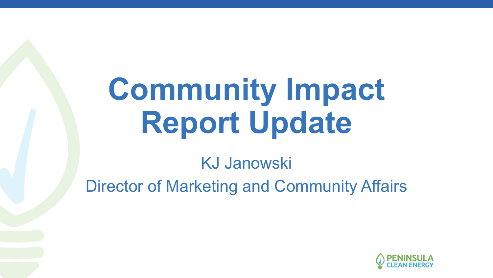# **Community Impact Report Update**

#### KJ Janowski Director of Marketing and Community Affairs

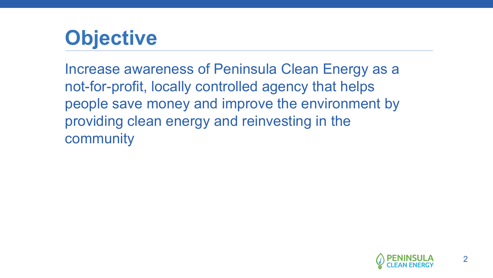## **Objective**

Increase awareness of Peninsula Clean Energy as a not-for-profit, locally controlled agency that helps people save money and improve the environment by providing clean energy and reinvesting in the community

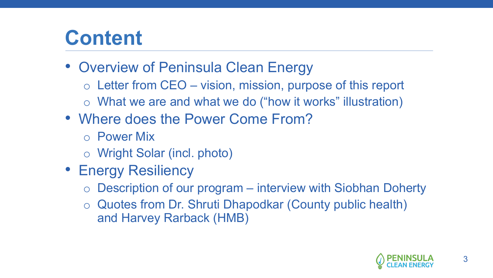### **Content**

- Overview of Peninsula Clean Energy
	- o Letter from CEO vision, mission, purpose of this report
	- o What we are and what we do ("how it works" illustration)
- Where does the Power Come From?
	- o Power Mix
	- o Wright Solar (incl. photo)
- Energy Resiliency
	- Description of our program interview with Siobhan Doherty
	- o Quotes from Dr. Shruti Dhapodkar (County public health) and Harvey Rarback (HMB)

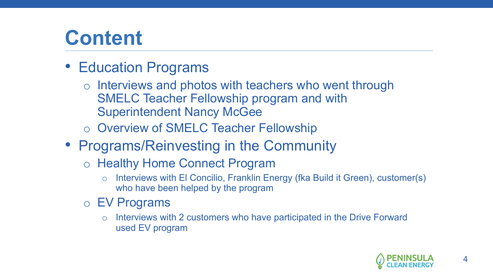### **Content**

- Education Programs
	- o Interviews and photos with teachers who went through SMELC Teacher Fellowship program and with Superintendent Nancy McGee
	- o Overview of SMELC Teacher Fellowship
- Programs/Reinvesting in the Community
	- o Healthy Home Connect Program
		- o Interviews with El Concilio, Franklin Energy (fka Build it Green), customer(s) who have been helped by the program
	- o EV Programs
		- o Interviews with 2 customers who have participated in the Drive Forward used EV program

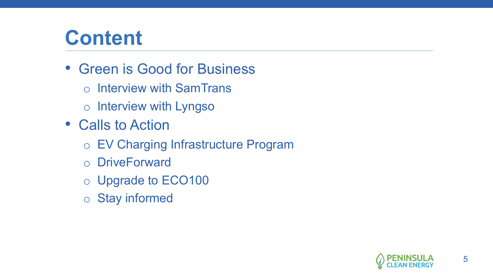#### **Content**

- Green is Good for Business
	- o Interview with SamTrans
	- o Interview with Lyngso
- Calls to Action
	- o EV Charging Infrastructure Program
	- o DriveForward
	- o Upgrade to ECO100
	- o Stay informed